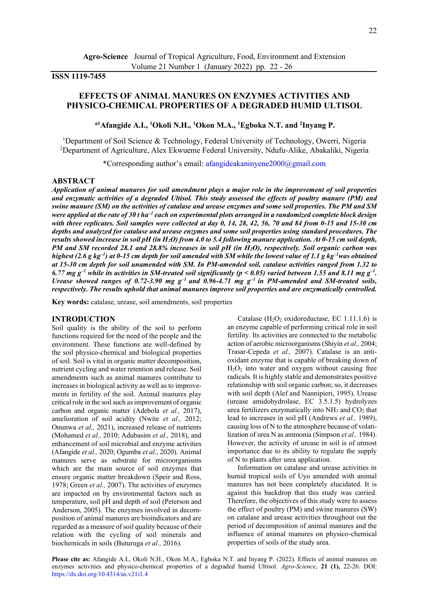## **ISSN 1119-7455**

# **EFFECTS OF ANIMAL MANURES ON ENZYMES ACTIVITIES AND PHYSICO-CHEMICAL PROPERTIES OF A DEGRADED HUMID ULTISOL**

## *\** **<sup>1</sup>Afangide A.I., <sup>1</sup>Okoli N.H., <sup>1</sup>Okon M.A., <sup>1</sup>Egboka N.T. and <sup>2</sup> Inyang P.**

<sup>1</sup>Department of Soil Science & Technology, Federal University of Technology, Owerri, Nigeria <sup>2</sup>Department of Agriculture, Alex Ekwueme Federal University, Ndufu-Alike, Abakaliki, Nigeria

\*Corresponding author's email: [afangideakaninyene2000@gmail.com](mailto:afangideakaninyene2000@gmail.com) 

#### **ABSTRACT**

*Application of animal manures for soil amendment plays a major role in the improvement of soil properties and enzymatic activities of a degraded Ultisol. This study assessed the effects of poultry manure (PM) and swine manure (SM) on the activities of catalase and urease enzymes and some soil properties. The PM and SM*  were applied at the rate of 30 t ha<sup>–1</sup> each on experimental plots arranged in a randomized complete block design *with three replicates. Soil samples were collected at day 0, 14, 28, 42, 56, 70 and 84 from 0-15 and 15-30 cm depths and analyzed for catalase and urease enzymes and some soil properties using standard procedures. The results showed increase in soil pH (in H2O) from 4.0 to 5.4 following manure application. At 0-15 cm soil depth, PM and SM recorded 28.1 and 28.8% increases in soil pH (in H<sub>2</sub>O), respectively. Soil organic carbon was highest (2.6 g kg–<sup>1</sup> ) at 0-15 cm depth for soil amended with SM while the lowest value of 1.1 g kg–<sup>1</sup>was obtained at 15-30 cm depth for soil unamended with SM. In PM-amended soil, catalase activities ranged from 1.32 to*  6.77 mg  $g^{-1}$  while its activities in SM-treated soil significantly ( $p < 0.05$ ) varied between 1.55 and 8.11 mg  $g^{-1}$ . *Urease showed ranges of 0.72-3.90 mg*  $g^{-1}$  *and 0.96-4.71 mg*  $g^{-1}$  *in PM-amended and SM-treated soils, respectively. The results uphold that animal manures improve soil properties and are enzymatically controlled.* 

**Key words:** catalase, urease, soil amendments, soil properties

### **INTRODUCTION**

Soil quality is the ability of the soil to perform functions required for the need of the people and the environment. These functions are well-defined by the soil physico-chemical and biological properties of soil. Soil is vital in organic matter decomposition, nutrient cycling and water retention and release. Soil amendments such as animal manures contribute to increases in biological activity as well as to improvements in fertility of the soil. Animal manures play critical role in the soil such as improvement of organic carbon and organic matter (Adebola *et al.,* 2017), amelioration of soil acidity (Nwite *et al.,* 2012; Onunwa *et al.,* 2021), increased release of nutrients (Mohamed *et al.,* 2010; Adubasim *et al.,* 2018), and enhancement of soil microbial and enzyme activities (Afangide *et al.,* 2020; Ogumba *et al*., 2020). Animal manures serve as substrate for microorganisms which are the main source of soil enzymes that ensure organic matter breakdown (Speir and Ross, 1978; Green *et al.,* 2007). The activities of enzymes are impacted on by environmental factors such as temperature, soil pH and depth of soil (Peterson and Anderson, 2005). The enzymes involved in decomposition of animal manures are bioindicators and are regarded as a measure of soil quality because of their relation with the cycling of soil minerals and biochemicals in soils (Buturuga *et al.,* 2016).

Catalase  $(H<sub>2</sub>O<sub>2</sub> oxidoreductase, EC 1.11.1.6)$  is an enzyme capable of performing critical role in soil fertility. Its activities are connected to the metabolic action of aerobic microorganisms (Shiyin *et al.,* 2004; Trasar-Cepeda *et al.,* 2007). Catalase is an antioxidant enzyme that is capable of breaking down of  $H<sub>2</sub>O<sub>2</sub>$  into water and oxygen without causing free radicals. It is highly stable and demonstrates positive relationship with soil organic carbon; so, it decreases with soil depth (Alef and Nannipieri, 1995). Urease (urease amidohydrolase, EC 3.5.1.5) hydrolyzes urea fertilizers enzymatically into  $NH<sub>3</sub>$  and  $CO<sub>2</sub>$  that lead to increases in soil pH (Andrews *et al.,* 1989), causing loss of N to the atmosphere because of volatilization of urea N as ammonia (Simpson *et al.,* 1984). However, the activity of urease in soil is of utmost importance due to its ability to regulate the supply of N to plants after urea application.

Information on catalase and urease activities in humid tropical soils of Uyo amended with animal manures has not been completely elucidated. It is against this backdrop that this study was carried. Therefore, the objectives of this study were to assess the effect of poultry (PM) and swine manures (SW) on catalase and urease activities throughout out the period of decomposition of animal manures and the influence of animal manures on physico-chemical properties of soils of the study area.

**Please cite as:** Afangide A.I., Okoli N.H., Okon M.A., Egboka N.T. and Inyang P. (2022). Effects of animal manures on enzymes activities and physico-chemical properties of a degraded humid Ultisol. *Agro-Science*, **21 (1),** 22-26. DOI: [https://dx.doi.org/10.4314/as.v21i1.4](https://dx.doi.org/10.4314/as.v21i1.1)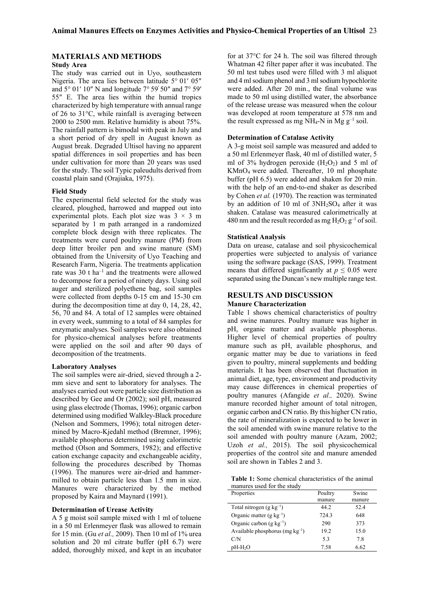## **MATERIALS AND METHODS**

#### **Study Area**

The study was carried out in Uyo, southeastern Nigeria. The area lies between latitude 5° 01′ 05″ and 5° 01′ 10″ N and longitude 7° 59′ 50″ and 7° 59′ 55″ E. The area lies within the humid tropics characterized by high temperature with annual range of 26 to 31°C, while rainfall is averaging between 2000 to 2500 mm. Relative humidity is about 75%. The rainfall pattern is bimodal with peak in July and a short period of dry spell in August known as August break. Degraded Ultisol having no apparent spatial differences in soil properties and has been under cultivation for more than 20 years was used for the study. The soil Typic paleudults derived from coastal plain sand (Orajiaka, 1975).

#### **Field Study**

The experimental field selected for the study was cleared, ploughed, harrowed and mapped out into experimental plots. Each plot size was  $3 \times 3$  m separated by 1 m path arranged in a randomized complete block design with three replicates. The treatments were cured poultry manure (PM) from deep litter broiler pen and swine manure (SM) obtained from the University of Uyo Teaching and Research Farm, Nigeria. The treatments application rate was  $30$  t ha<sup>-1</sup> and the treatments were allowed to decompose for a period of ninety days. Using soil auger and sterilized polyethene bag, soil samples were collected from depths 0-15 cm and 15-30 cm during the decomposition time at day 0, 14, 28, 42, 56, 70 and 84. A total of 12 samples were obtained in every week, summing to a total of 84 samples for enzymatic analyses. Soil samples were also obtained for physico-chemical analyses before treatments were applied on the soil and after 90 days of decomposition of the treatments.

#### **Laboratory Analyses**

The soil samples were air-dried, sieved through a 2 mm sieve and sent to laboratory for analyses. The analyses carried out were particle size distribution as described by Gee and Or (2002); soil pH, measured using glass electrode (Thomas, 1996); organic carbon determined using modified Walkley-Black procedure (Nelson and Sommers, 1996); total nitrogen determined by Macro-Kjedahl method (Bremner, 1996); available phosphorus determined using calorimetric method (Olson and Sommers, 1982); and effective cation exchange capacity and exchangeable acidity, following the procedures described by Thomas (1996). The manures were air-dried and hammermilled to obtain particle less than 1.5 mm in size. Manures were characterized by the method proposed by Kaira and Maynard (1991).

## **Determination of Urease Activity**

A 5 g moist soil sample mixed with 1 ml of toluene in a 50 ml Erlenmeyer flask was allowed to remain for 15 min. (Gu *et al.,* 2009). Then 10 ml of 1% urea solution and 20 ml citrate buffer (pH 6.7) were added, thoroughly mixed, and kept in an incubator

for at 37°C for 24 h. The soil was filtered through Whatman 42 filter paper after it was incubated. The 50 ml test tubes used were filled with 3 ml aliquot and 4 ml sodium phenol and 3 ml sodium hypochlorite were added. After 20 min., the final volume was made to 50 ml using distilled water, the absorbance of the release urease was measured when the colour was developed at room temperature at 578 nm and the result expressed as mg NH<sub>4</sub>-N in Mg  $g^{-1}$  soil.

#### **Determination of Catalase Activity**

A 3-g moist soil sample was measured and added to a 50 ml Erlenmeyer flask, 40 ml of distilled water, 5 ml of 3% hydrogen peroxide  $(H_2O_2)$  and 5 ml of KMnO4 were added. Thereafter, 10 ml phosphate buffer (pH 6.5) were added and shaken for 20 min. with the help of an end-to-end shaker as described by Cohen *et al.* (1970). The reaction was terminated by an addition of 10 ml of  $3NH<sub>2</sub>SO<sub>4</sub>$  after it was shaken. Catalase was measured calorimetrically at 480 nm and the result recorded as mg  $H_2O_2$   $g^{-1}$  of soil.

#### **Statistical Analysis**

Data on urease, catalase and soil physicochemical properties were subjected to analysis of variance using the software package (SAS, 1999). Treatment means that differed significantly at  $p \leq 0.05$  were separated using the Duncan's new multiple range test.

## **RESULTS AND DISCUSSION Manure Characterization**

Table 1 shows chemical characteristics of poultry and swine manures. Poultry manure was higher in pH, organic matter and available phosphorus. Higher level of chemical properties of poultry manure such as pH, available phosphorus, and organic matter may be due to variations in feed given to poultry, mineral supplements and bedding materials. It has been observed that fluctuation in animal diet, age, type, environment and productivity may cause differences in chemical properties of poultry manures (Afangide *et al.,* 2020). Swine manure recorded higher amount of total nitrogen, organic carbon and CN ratio. By this higher CN ratio, the rate of mineralization is expected to be lower in the soil amended with swine manure relative to the soil amended with poultry manure (Azam, 2002; Uzoh *et al.,* 2015). The soil physicochemical properties of the control site and manure amended soil are shown in Tables 2 and 3.

**Table 1:** Some chemical characteristics of the animal manures used for the study

| Properties                           | Poultry | Swine  |
|--------------------------------------|---------|--------|
|                                      | manure  | manure |
| Total nitrogen $(g \text{ kg}^{-1})$ | 44.2    | 52.4   |
| Organic matter (g $kg^{-1}$ )        | 724.3   | 648    |
| Organic carbon $(g \text{ kg}^{-1})$ | 290     | 373    |
| Available phosphorus (mg $kg^{-1}$ ) | 19.2    | 15.0   |
| C/N                                  | 5.3     | 7.8    |
| $pH-H2O$                             | 7.58    | 6.62   |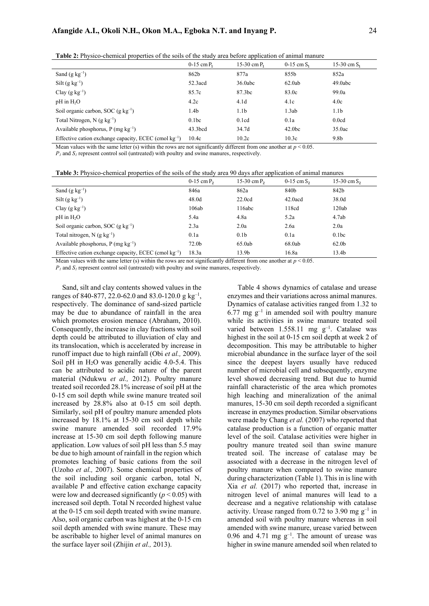|                                                            | $0-15$ cm $P_1$     | 15-30 cm $P_1$   | $0-15$ cm $S_1$    | 15-30 cm $S_1$     |  |
|------------------------------------------------------------|---------------------|------------------|--------------------|--------------------|--|
| Sand $(g \text{ kg}^{-1})$                                 | 862b                | 877a             | 855b               | 852a               |  |
| $Silt(g kg^{-1})$                                          | $52.3 \text{acd}$   | 36.0abc          | 62.0ab             | 49.0abc            |  |
| Clay $(g \ kg^{-1})$                                       | 85.7c               | 87.3bc           | 83.0c              | 99.0a              |  |
| $pH$ in $H_2O$                                             | 4.2c                | 4.1d             | 4.1c               | 4.0c               |  |
| Soil organic carbon, SOC (g $kg^{-1}$ )                    | 1.4 <sub>b</sub>    | 1.1 <sub>b</sub> | 1.3ab              | 1.1 <sub>b</sub>   |  |
| Total Nitrogen, N $(g \ kg^{-1})$                          | 0.1 <sub>bc</sub>   | 0.1cd            | 0.1a               | 0.0cd              |  |
| Available phosphorus, $P$ (mg kg <sup>-1</sup> )           | 43.3 <sub>bcd</sub> | 34.7d            | 42.0 <sub>bc</sub> | 35.0 <sub>ac</sub> |  |
| Effective cation exchange capacity, ECEC (cmol $kg^{-1}$ ) | 10.4c               | 10.2c            | 10.3c              | 9.8 <sub>b</sub>   |  |

**Table 2:** Physico-chemical properties of the soils of the study area before application of animal manure

Mean values with the same letter (s) within the rows are not significantly different from one another at  $p < 0.05$ .

*P<sup>1</sup>* and *S1* represent control soil (untreated) with poultry and swine manures, respectively.

**Table 3:** Physico-chemical properties of the soils of the study area 90 days after application of animal manures

| 15-30 cm $S_2$ |
|----------------|

Mean values with the same letter (s) within the rows are not significantly different from one another at  $p \le 0.05$ .

*P1* and *S1* represent control soil (untreated) with poultry and swine manures, respectively.

Sand, silt and clay contents showed values in the ranges of 840-877, 22.0-62.0 and 83.0-120.0 g kg<sup>-1</sup>, respectively. The dominance of sand-sized particle may be due to abundance of rainfall in the area which promotes erosion menace (Abraham, 2010). Consequently, the increase in clay fractions with soil depth could be attributed to illuviation of clay and its translocation, which is accelerated by increase in runoff impact due to high rainfall (Obi *et al.,* 2009). Soil pH in  $H<sub>2</sub>O$  was generally acidic 4.0-5.4. This can be attributed to acidic nature of the parent material (Ndukwu *et al.,* 2012). Poultry manure treated soil recorded 28.1% increase of soil pH at the 0-15 cm soil depth while swine manure treated soil increased by 28.8% also at 0-15 cm soil depth. Similarly, soil pH of poultry manure amended plots increased by 18.1% at 15-30 cm soil depth while swine manure amended soil recorded 17.9% increase at 15-30 cm soil depth following manure application. Low values of soil pH less than 5.5 may be due to high amount of rainfall in the region which promotes leaching of basic cations from the soil (Uzoho *et al.,* 2007). Some chemical properties of the soil including soil organic carbon, total N, available P and effective cation exchange capacity were low and decreased significantly  $(p < 0.05)$  with increased soil depth. Total N recorded highest value at the 0-15 cm soil depth treated with swine manure. Also, soil organic carbon was highest at the 0-15 cm soil depth amended with swine manure. These may be ascribable to higher level of animal manures on the surface layer soil (Zhijin *et al.,* 2013).

Table 4 shows dynamics of catalase and urease enzymes and their variations across animal manures. Dynamics of catalase activities ranged from 1.32 to  $6.77 \text{ mg g}^{-1}$  in amended soil with poultry manure while its activities in swine manure treated soil varied between  $1.558.11$  mg  $g^{-1}$ . Catalase was highest in the soil at 0-15 cm soil depth at week 2 of decomposition. This may be attributable to higher microbial abundance in the surface layer of the soil since the deepest layers usually have reduced number of microbial cell and subsequently, enzyme level showed decreasing trend. But due to humid rainfall characteristic of the area which promotes high leaching and mineralization of the animal manures, 15-30 cm soil depth recorded a significant increase in enzymes production. Similar observations were made by Chang *et al.* (2007) who reported that catalase production is a function of organic matter level of the soil. Catalase activities were higher in poultry manure treated soil than swine manure treated soil. The increase of catalase may be associated with a decrease in the nitrogen level of poultry manure when compared to swine manure during characterization (Table 1). This in is line with Xia *et al.* (2017) who reported that, increase in nitrogen level of animal manures will lead to a decrease and a negative relationship with catalase activity. Urease ranged from 0.72 to 3.90 mg  $g^{-1}$  in amended soil with poultry manure whereas in soil amended with swine manure, urease varied between 0.96 and 4.71 mg  $g^{-1}$ . The amount of urease was higher in swine manure amended soil when related to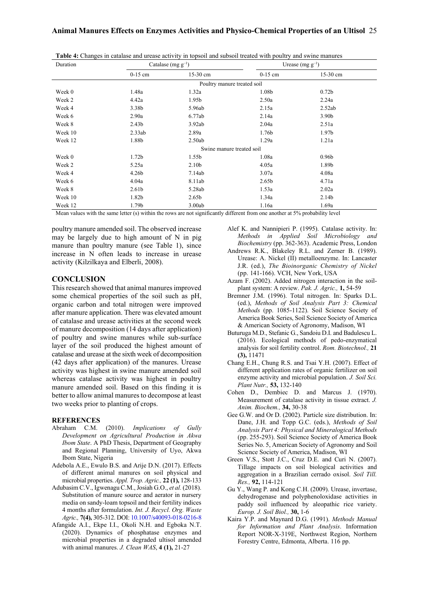| Duration                  | Catalase (mg $g^{-1}$ )     |                   | Urease (mg $g^{-1}$ ) |                   |  |  |  |
|---------------------------|-----------------------------|-------------------|-----------------------|-------------------|--|--|--|
|                           | $0-15$ cm                   | $15-30$ cm        | $0-15$ cm             | 15-30 cm          |  |  |  |
|                           | Poultry manure treated soil |                   |                       |                   |  |  |  |
| Week 0                    | 1.48a                       | 1.32a             | 1.08b                 | 0.72 <sub>b</sub> |  |  |  |
| Week 2                    | 4.42a                       | 1.95 <sub>b</sub> | 2.50a                 | 2.24a             |  |  |  |
| Week 4                    | 3.38b                       | 5.96ab            | 2.15a                 | 2.52ab            |  |  |  |
| Week 6                    | 2.90a                       | 6.77ab            | 2.14a                 | 3.90 <sub>b</sub> |  |  |  |
| Week 8                    | 2.43 <sub>b</sub>           | 3.92ab            | 2.04a                 | 2.51a             |  |  |  |
| Week 10                   | 2.33ab                      | 2.89a             | 1.76 <sub>b</sub>     | 1.97 <sub>b</sub> |  |  |  |
| Week 12                   | 1.88b                       | 2.50ab            | 1.29a                 | 1.21a             |  |  |  |
| Swine manure treated soil |                             |                   |                       |                   |  |  |  |
| Week 0                    | 1.72 <sub>b</sub>           | 1.55 <sub>b</sub> | 1.08a                 | 0.96 <sub>b</sub> |  |  |  |
| Week 2                    | 5.25a                       | 2.10 <sub>b</sub> | 4.05a                 | 1.89b             |  |  |  |
| Week 4                    | 4.26 <sub>b</sub>           | 7.14ab            | 3.07a                 | 4.08a             |  |  |  |
| Week 6                    | 4.04a                       | 8.11ab            | 2.65 <sub>b</sub>     | 4.71a             |  |  |  |
| Week 8                    | 2.61 <sub>b</sub>           | 5.28ab            | 1.53a                 | 2.02a             |  |  |  |
| Week 10                   | 1.82b                       | 2.65 <sub>b</sub> | 1.34a                 | 2.14 <sub>b</sub> |  |  |  |
| Week 12                   | 1.79b                       | 3.00ab            | 1.16a                 | 1.69a             |  |  |  |

**Table 4:** Changes in catalase and urease activity in topsoil and subsoil treated with poultry and swine manures

Mean values with the same letter (s) within the rows are not significantly different from one another at 5% probability level

poultry manure amended soil. The observed increase may be largely due to high amount of N in pig manure than poultry manure (see Table 1), since increase in N often leads to increase in urease activity (Kilzilkaya and Elberli, 2008).

### **CONCLUSION**

This research showed that animal manures improved some chemical properties of the soil such as pH, organic carbon and total nitrogen were improved after manure application. There was elevated amount of catalase and urease activities at the second week of manure decomposition (14 days after application) of poultry and swine manures while sub-surface layer of the soil produced the highest amount of catalase and urease at the sixth week of decomposition (42 days after application) of the manures. Urease activity was highest in swine manure amended soil whereas catalase activity was highest in poultry manure amended soil. Based on this finding it is better to allow animal manures to decompose at least two weeks prior to planting of crops.

#### **REFERENCES**

- Abraham C.M. (2010). *Implications of Gully Development on Agricultural Production in Akwa Ibom State*. A PhD Thesis, Department of Geography and Regional Planning, University of Uyo, Akwa Ibom State, Nigeria
- Adebola A.E., Ewulo B.S. and Arije D.N. (2017). Effects of different animal manures on soil physical and microbial properties. *Appl. Trop. Agric.,* **22 (1),** 128-133
- Adubasim C.V., Igwenagu C.M., Josiah G.O., *et al.* (2018). Substitution of manure source and aerator in nursery media on sandy-loam topsoil and their fertility indices 4 months after formulation. *Int. J. Recycl. Org. Waste Agric.,* **7(4),** 305-312. DOI: 10.1007/s40093-018-0216-8
- Afangide A.I., Ekpe I.I., Okoli N.H. and Egboka N.T. (2020). Dynamics of phosphatase enzymes and microbial properties in a degraded ultisol amended with animal manures. *J. Clean WAS*, **4 (1),** 21-27
- Alef K. and Nannipieri P. (1995). Catalase activity. In: *Methods in Applied Soil Microbiology and Biochemistry* (pp. 362-363). Academic Press, London
- Andrews R.K., Blakeley R.L. and Zerner B. (1989). Urease: A. Nickel (II) metalloenzyme. In: Lancaster J.R. (ed.), *The Bioinorganic Chemistry of Nickel* (pp. 141-166). VCH, New York, USA
- Azam F. (2002). Added nitrogen interaction in the soilplant system: A review. *Pak. J. Agric.,* **1,** 54-59
- Bremner J.M. (1996). Total nitrogen. In: Sparks D.L. (ed.), *Methods of Soil Analysis Part 3: Chemical Methods* (pp. 1085-1122). Soil Science Society of America Book Series, Soil Science Society of America & American Society of Agronomy, Madison, WI
- Buturuga M.D., Stefanic G., Sandoiu D.I. and Badulescu L. (2016). Ecological methods of pedo-enzymatical analysis for soil fertility control. *Rom. Biotechnol.,* **21 (3),** 11471
- Chang E.H., Chung R.S. and Tsai Y.H. (2007). Effect of different application rates of organic fertilizer on soil enzyme activity and microbial population. *J. Soil Sci. Plant Nutr.,* **53,** 132-140
- Cohen D., Dembiec D. and Marcus J. (1970). Measurement of catalase activity in tissue extract. *J. Anim. Biochem.,* **34,** 30-38
- Gee G.W. and Or D. (2002). Particle size distribution. In: Dane, J.H. and Topp G.C. (eds.), *Methods of Soil Analysis Part 4: Physical and Mineralogical Methods*  (pp. 255-293). Soil Science Society of America Book Series No. 5, American Society of Agronomy and Soil Science Society of America, Madison, WI
- Green V.S., Stott J.C., Cruz D.E. and Curi N. (2007). Tillage impacts on soil biological activities and aggregation in a Brazilian cerrado oxisol. *Soil Till. Res.,* **92,** 114-121
- Gu Y., Wang P. and Kong C.H. (2009). Urease, invertase, dehydrogenase and polyphenoloxidase activities in paddy soil influenced by aleopathic rice variety. *Europ. J. Soil Biol.,* **30,** 1-6
- Kaira Y.P. and Maynard D.G. (1991). *Methods Manual for Information and Plant Analysis*. Information Report NOR-X-319E, Northwest Region, Northern Forestry Centre, Edmonta, Alberta. 116 pp.